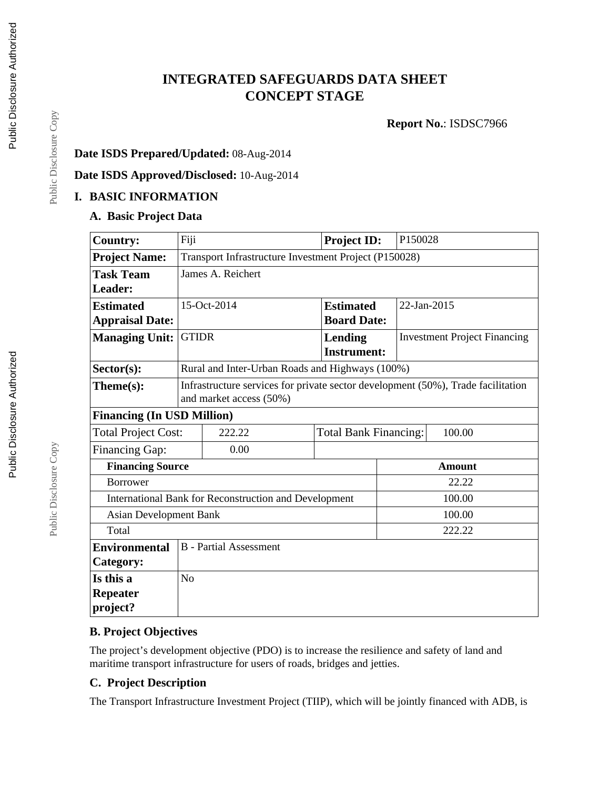# **INTEGRATED SAFEGUARDS DATA SHEET CONCEPT STAGE**

**Report No.**: ISDSC7966

### **Date ISDS Prepared/Updated:** 08-Aug-2014

**Date ISDS Approved/Disclosed:** 10-Aug-2014

#### **I. BASIC INFORMATION**

#### **A. Basic Project Data**

| <b>Country:</b>                                       | Fiji                                                                                                        | <b>Project ID:</b>           | P150028       |                                     |  |
|-------------------------------------------------------|-------------------------------------------------------------------------------------------------------------|------------------------------|---------------|-------------------------------------|--|
| <b>Project Name:</b>                                  | Transport Infrastructure Investment Project (P150028)                                                       |                              |               |                                     |  |
| <b>Task Team</b>                                      | James A. Reichert                                                                                           |                              |               |                                     |  |
| Leader:                                               |                                                                                                             |                              |               |                                     |  |
| <b>Estimated</b>                                      | 15-Oct-2014                                                                                                 | <b>Estimated</b>             |               | 22-Jan-2015                         |  |
| <b>Appraisal Date:</b>                                |                                                                                                             | <b>Board Date:</b>           |               |                                     |  |
| <b>Managing Unit:</b>                                 | <b>GTIDR</b>                                                                                                | Lending                      |               | <b>Investment Project Financing</b> |  |
|                                                       |                                                                                                             | <b>Instrument:</b>           |               |                                     |  |
| Sector(s):                                            | Rural and Inter-Urban Roads and Highways (100%)                                                             |                              |               |                                     |  |
| Theme(s):                                             | Infrastructure services for private sector development (50%), Trade facilitation<br>and market access (50%) |                              |               |                                     |  |
| <b>Financing (In USD Million)</b>                     |                                                                                                             |                              |               |                                     |  |
| <b>Total Project Cost:</b>                            | 222.22                                                                                                      | <b>Total Bank Financing:</b> | 100.00        |                                     |  |
| Financing Gap:                                        | 0.00                                                                                                        |                              |               |                                     |  |
| <b>Financing Source</b>                               |                                                                                                             |                              | <b>Amount</b> |                                     |  |
| <b>Borrower</b>                                       |                                                                                                             |                              | 22.22         |                                     |  |
|                                                       | International Bank for Reconstruction and Development                                                       |                              | 100.00        |                                     |  |
| <b>Asian Development Bank</b>                         |                                                                                                             |                              | 100.00        |                                     |  |
| Total                                                 |                                                                                                             |                              |               | 222.22                              |  |
| <b>B</b> - Partial Assessment<br><b>Environmental</b> |                                                                                                             |                              |               |                                     |  |
| Category:                                             |                                                                                                             |                              |               |                                     |  |
| Is this a                                             | N <sub>o</sub>                                                                                              |                              |               |                                     |  |
| <b>Repeater</b>                                       |                                                                                                             |                              |               |                                     |  |
| project?                                              |                                                                                                             |                              |               |                                     |  |

## **B. Project Objectives**

The project's development objective (PDO) is to increase the resilience and safety of land and maritime transport infrastructure for users of roads, bridges and jetties.

#### **C. Project Description**

The Transport Infrastructure Investment Project (TIIP), which will be jointly financed with ADB, is

Public Disclosure Copy

Public Disclosure Copy

Public Disclosure Copy

Public Disclosure Copy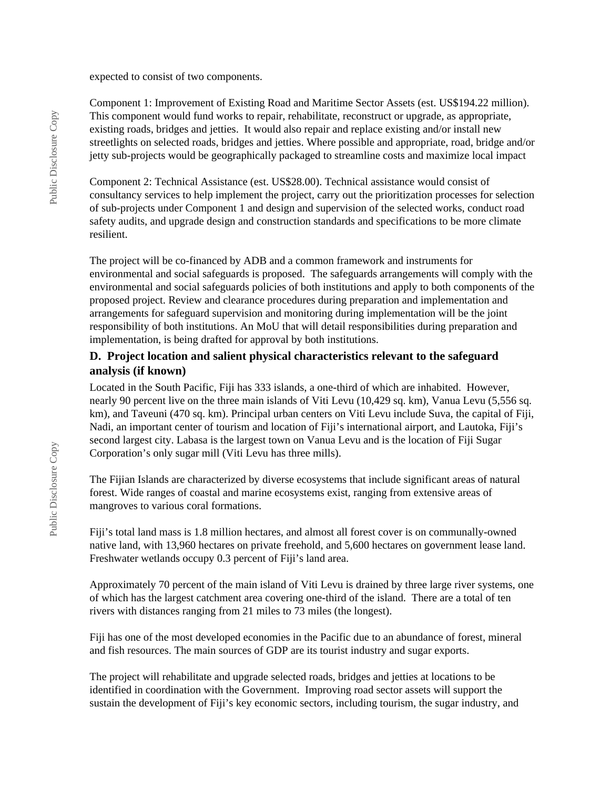expected to consist of two components.

Component 1: Improvement of Existing Road and Maritime Sector Assets (est. US\$194.22 million). This component would fund works to repair, rehabilitate, reconstruct or upgrade, as appropriate, existing roads, bridges and jetties. It would also repair and replace existing and/or install new streetlights on selected roads, bridges and jetties. Where possible and appropriate, road, bridge and/or jetty sub-projects would be geographically packaged to streamline costs and maximize local impact

Component 2: Technical Assistance (est. US\$28.00). Technical assistance would consist of consultancy services to help implement the project, carry out the prioritization processes for selection of sub-projects under Component 1 and design and supervision of the selected works, conduct road safety audits, and upgrade design and construction standards and specifications to be more climate resilient.

The project will be co-financed by ADB and a common framework and instruments for environmental and social safeguards is proposed. The safeguards arrangements will comply with the environmental and social safeguards policies of both institutions and apply to both components of the proposed project. Review and clearance procedures during preparation and implementation and arrangements for safeguard supervision and monitoring during implementation will be the joint responsibility of both institutions. An MoU that will detail responsibilities during preparation and implementation, is being drafted for approval by both institutions.

#### **D. Project location and salient physical characteristics relevant to the safeguard analysis (if known)**

Located in the South Pacific, Fiji has 333 islands, a one-third of which are inhabited. However, nearly 90 percent live on the three main islands of Viti Levu (10,429 sq. km), Vanua Levu (5,556 sq. km), and Taveuni (470 sq. km). Principal urban centers on Viti Levu include Suva, the capital of Fiji, Nadi, an important center of tourism and location of Fiji's international airport, and Lautoka, Fiji's second largest city. Labasa is the largest town on Vanua Levu and is the location of Fiji Sugar Corporation's only sugar mill (Viti Levu has three mills).

The Fijian Islands are characterized by diverse ecosystems that include significant areas of natural forest. Wide ranges of coastal and marine ecosystems exist, ranging from extensive areas of mangroves to various coral formations.

Fiji's total land mass is 1.8 million hectares, and almost all forest cover is on communally-owned native land, with 13,960 hectares on private freehold, and 5,600 hectares on government lease land. Freshwater wetlands occupy 0.3 percent of Fiji's land area.

Approximately 70 percent of the main island of Viti Levu is drained by three large river systems, one of which has the largest catchment area covering one-third of the island. There are a total of ten rivers with distances ranging from 21 miles to 73 miles (the longest).

Fiji has one of the most developed economies in the Pacific due to an abundance of forest, mineral and fish resources. The main sources of GDP are its tourist industry and sugar exports.

The project will rehabilitate and upgrade selected roads, bridges and jetties at locations to be identified in coordination with the Government. Improving road sector assets will support the sustain the development of Fiji's key economic sectors, including tourism, the sugar industry, and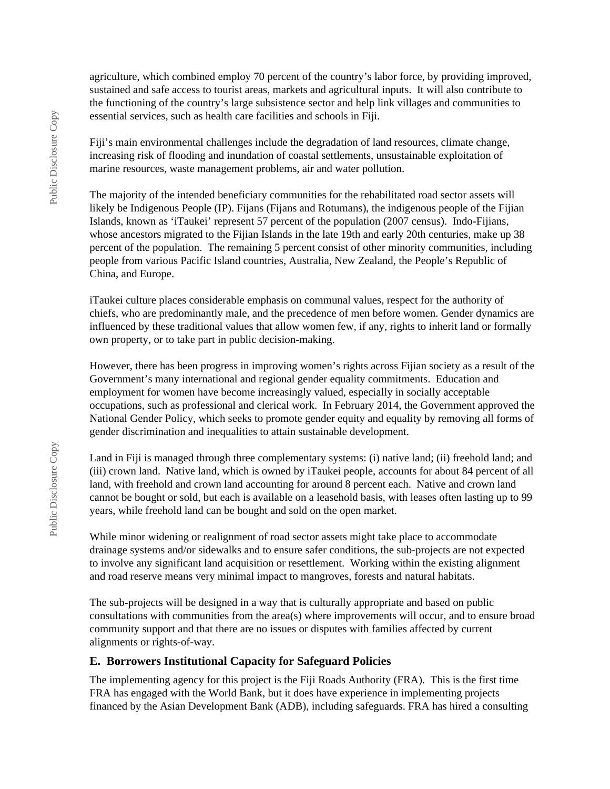agriculture, which combined employ 70 percent of the country's labor force, by providing improved, sustained and safe access to tourist areas, markets and agricultural inputs. It will also contribute to the functioning of the country's large subsistence sector and help link villages and communities to essential services, such as health care facilities and schools in Fiji.

Fiji's main environmental challenges include the degradation of land resources, climate change, increasing risk of flooding and inundation of coastal settlements, unsustainable exploitation of marine resources, waste management problems, air and water pollution.

The majority of the intended beneficiary communities for the rehabilitated road sector assets will likely be Indigenous People (IP). Fijans (Fijans and Rotumans), the indigenous people of the Fijian Islands, known as 'iTaukei' represent 57 percent of the population (2007 census). Indo-Fijians, whose ancestors migrated to the Fijian Islands in the late 19th and early 20th centuries, make up 38 percent of the population. The remaining 5 percent consist of other minority communities, including people from various Pacific Island countries, Australia, New Zealand, the People's Republic of China, and Europe.

iTaukei culture places considerable emphasis on communal values, respect for the authority of chiefs, who are predominantly male, and the precedence of men before women. Gender dynamics are influenced by these traditional values that allow women few, if any, rights to inherit land or formally own property, or to take part in public decision-making.

However, there has been progress in improving women's rights across Fijian society as a result of the Government's many international and regional gender equality commitments. Education and employment for women have become increasingly valued, especially in socially acceptable occupations, such as professional and clerical work. In February 2014, the Government approved the National Gender Policy, which seeks to promote gender equity and equality by removing all forms of gender discrimination and inequalities to attain sustainable development.

Land in Fiji is managed through three complementary systems: (i) native land; (ii) freehold land; and (iii) crown land. Native land, which is owned by iTaukei people, accounts for about 84 percent of all land, with freehold and crown land accounting for around 8 percent each. Native and crown land cannot be bought or sold, but each is available on a leasehold basis, with leases often lasting up to 99 years, while freehold land can be bought and sold on the open market.

While minor widening or realignment of road sector assets might take place to accommodate drainage systems and/or sidewalks and to ensure safer conditions, the sub-projects are not expected to involve any significant land acquisition or resettlement. Working within the existing alignment and road reserve means very minimal impact to mangroves, forests and natural habitats.

The sub-projects will be designed in a way that is culturally appropriate and based on public consultations with communities from the area(s) where improvements will occur, and to ensure broad community support and that there are no issues or disputes with families affected by current alignments or rights-of-way.

#### **E. Borrowers Institutional Capacity for Safeguard Policies**

The implementing agency for this project is the Fiji Roads Authority (FRA). This is the first time FRA has engaged with the World Bank, but it does have experience in implementing projects financed by the Asian Development Bank (ADB), including safeguards. FRA has hired a consulting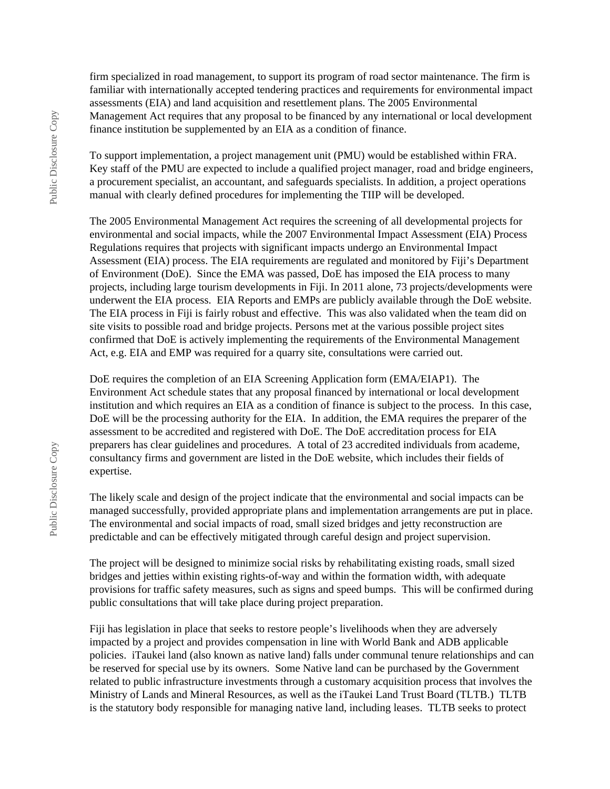firm specialized in road management, to support its program of road sector maintenance. The firm is familiar with internationally accepted tendering practices and requirements for environmental impact assessments (EIA) and land acquisition and resettlement plans. The 2005 Environmental Management Act requires that any proposal to be financed by any international or local development finance institution be supplemented by an EIA as a condition of finance.

To support implementation, a project management unit (PMU) would be established within FRA. Key staff of the PMU are expected to include a qualified project manager, road and bridge engineers, a procurement specialist, an accountant, and safeguards specialists. In addition, a project operations manual with clearly defined procedures for implementing the TIIP will be developed.

The 2005 Environmental Management Act requires the screening of all developmental projects for environmental and social impacts, while the 2007 Environmental Impact Assessment (EIA) Process Regulations requires that projects with significant impacts undergo an Environmental Impact Assessment (EIA) process. The EIA requirements are regulated and monitored by Fiji's Department of Environment (DoE). Since the EMA was passed, DoE has imposed the EIA process to many projects, including large tourism developments in Fiji. In 2011 alone, 73 projects/developments were underwent the EIA process. EIA Reports and EMPs are publicly available through the DoE website. The EIA process in Fiji is fairly robust and effective. This was also validated when the team did on site visits to possible road and bridge projects. Persons met at the various possible project sites confirmed that DoE is actively implementing the requirements of the Environmental Management Act, e.g. EIA and EMP was required for a quarry site, consultations were carried out.

DoE requires the completion of an EIA Screening Application form (EMA/EIAP1). The Environment Act schedule states that any proposal financed by international or local development institution and which requires an EIA as a condition of finance is subject to the process. In this case, DoE will be the processing authority for the EIA. In addition, the EMA requires the preparer of the assessment to be accredited and registered with DoE. The DoE accreditation process for EIA preparers has clear guidelines and procedures. A total of 23 accredited individuals from academe, consultancy firms and government are listed in the DoE website, which includes their fields of expertise.

The likely scale and design of the project indicate that the environmental and social impacts can be managed successfully, provided appropriate plans and implementation arrangements are put in place. The environmental and social impacts of road, small sized bridges and jetty reconstruction are predictable and can be effectively mitigated through careful design and project supervision.

The project will be designed to minimize social risks by rehabilitating existing roads, small sized bridges and jetties within existing rights-of-way and within the formation width, with adequate provisions for traffic safety measures, such as signs and speed bumps. This will be confirmed during public consultations that will take place during project preparation.

Fiji has legislation in place that seeks to restore people's livelihoods when they are adversely impacted by a project and provides compensation in line with World Bank and ADB applicable policies. iTaukei land (also known as native land) falls under communal tenure relationships and can be reserved for special use by its owners. Some Native land can be purchased by the Government related to public infrastructure investments through a customary acquisition process that involves the Ministry of Lands and Mineral Resources, as well as the iTaukei Land Trust Board (TLTB.) TLTB is the statutory body responsible for managing native land, including leases. TLTB seeks to protect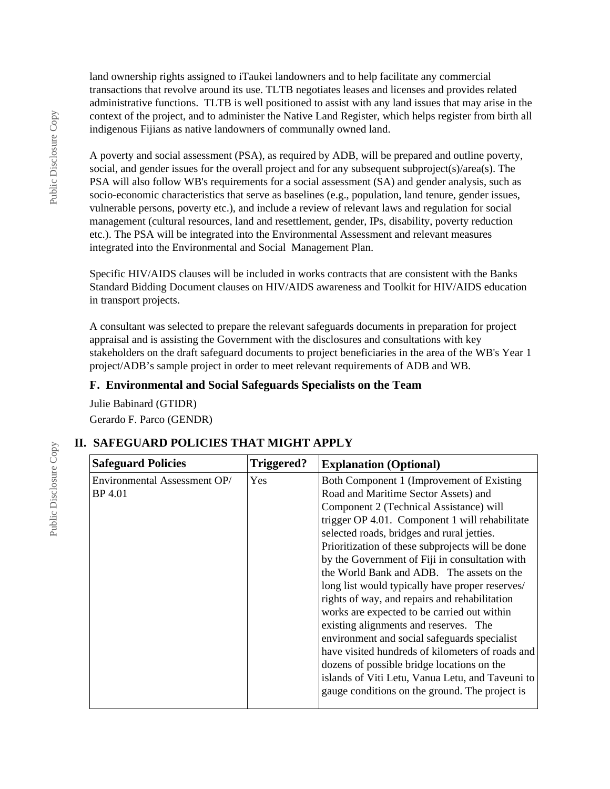land ownership rights assigned to iTaukei landowners and to help facilitate any commercial transactions that revolve around its use. TLTB negotiates leases and licenses and provides related administrative functions. TLTB is well positioned to assist with any land issues that may arise in the context of the project, and to administer the Native Land Register, which helps register from birth all indigenous Fijians as native landowners of communally owned land.

A poverty and social assessment (PSA), as required by ADB, will be prepared and outline poverty, social, and gender issues for the overall project and for any subsequent subproject(s)/area(s). The PSA will also follow WB's requirements for a social assessment (SA) and gender analysis, such as socio-economic characteristics that serve as baselines (e.g., population, land tenure, gender issues, vulnerable persons, poverty etc.), and include a review of relevant laws and regulation for social management (cultural resources, land and resettlement, gender, IPs, disability, poverty reduction etc.). The PSA will be integrated into the Environmental Assessment and relevant measures integrated into the Environmental and Social Management Plan.

Specific HIV/AIDS clauses will be included in works contracts that are consistent with the Banks Standard Bidding Document clauses on HIV/AIDS awareness and Toolkit for HIV/AIDS education in transport projects.

A consultant was selected to prepare the relevant safeguards documents in preparation for project appraisal and is assisting the Government with the disclosures and consultations with key stakeholders on the draft safeguard documents to project beneficiaries in the area of the WB's Year 1 project/ADB's sample project in order to meet relevant requirements of ADB and WB.

#### **F. Environmental and Social Safeguards Specialists on the Team**

Julie Babinard (GTIDR) Gerardo F. Parco (GENDR)

#### **II. SAFEGUARD POLICIES THAT MIGHT APPLY**

| <b>Safeguard Policies</b>    | Triggered? | <b>Explanation (Optional)</b>                    |
|------------------------------|------------|--------------------------------------------------|
| Environmental Assessment OP/ | Yes        | Both Component 1 (Improvement of Existing        |
| BP 4.01                      |            | Road and Maritime Sector Assets) and             |
|                              |            | Component 2 (Technical Assistance) will          |
|                              |            | trigger OP 4.01. Component 1 will rehabilitate   |
|                              |            | selected roads, bridges and rural jetties.       |
|                              |            | Prioritization of these subprojects will be done |
|                              |            | by the Government of Fiji in consultation with   |
|                              |            | the World Bank and ADB. The assets on the        |
|                              |            | long list would typically have proper reserves/  |
|                              |            | rights of way, and repairs and rehabilitation    |
|                              |            | works are expected to be carried out within      |
|                              |            | existing alignments and reserves. The            |
|                              |            | environment and social safeguards specialist     |
|                              |            | have visited hundreds of kilometers of roads and |
|                              |            | dozens of possible bridge locations on the       |
|                              |            | islands of Viti Letu, Vanua Letu, and Taveuni to |
|                              |            | gauge conditions on the ground. The project is   |
|                              |            |                                                  |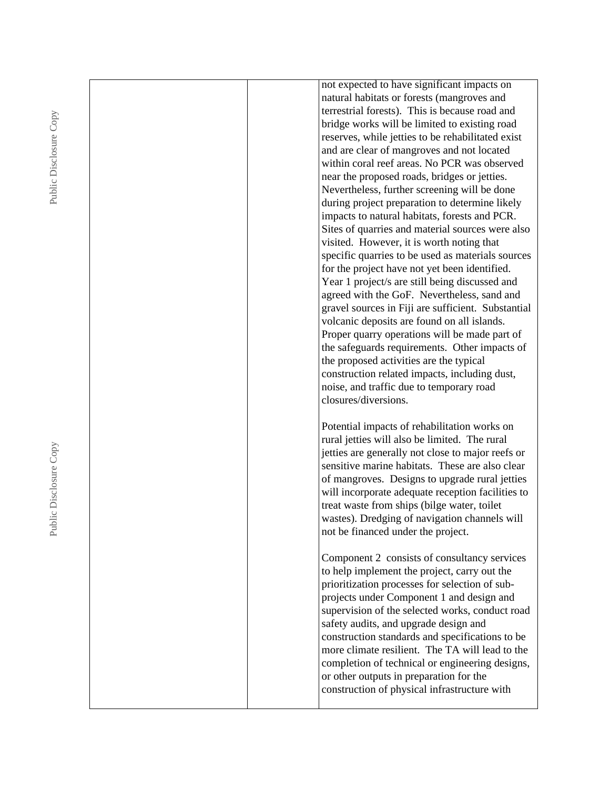|  | not expected to have significant impacts on        |
|--|----------------------------------------------------|
|  | natural habitats or forests (mangroves and         |
|  | terrestrial forests). This is because road and     |
|  | bridge works will be limited to existing road      |
|  | reserves, while jetties to be rehabilitated exist  |
|  | and are clear of mangroves and not located         |
|  | within coral reef areas. No PCR was observed       |
|  | near the proposed roads, bridges or jetties.       |
|  | Nevertheless, further screening will be done       |
|  | during project preparation to determine likely     |
|  | impacts to natural habitats, forests and PCR.      |
|  | Sites of quarries and material sources were also   |
|  | visited. However, it is worth noting that          |
|  | specific quarries to be used as materials sources  |
|  | for the project have not yet been identified.      |
|  | Year 1 project/s are still being discussed and     |
|  | agreed with the GoF. Nevertheless, sand and        |
|  | gravel sources in Fiji are sufficient. Substantial |
|  | volcanic deposits are found on all islands.        |
|  | Proper quarry operations will be made part of      |
|  | the safeguards requirements. Other impacts of      |
|  | the proposed activities are the typical            |
|  | construction related impacts, including dust,      |
|  | noise, and traffic due to temporary road           |
|  | closures/diversions.                               |
|  |                                                    |
|  | Potential impacts of rehabilitation works on       |
|  | rural jetties will also be limited. The rural      |
|  | jetties are generally not close to major reefs or  |
|  | sensitive marine habitats. These are also clear    |
|  | of mangroves. Designs to upgrade rural jetties     |
|  | will incorporate adequate reception facilities to  |
|  | treat waste from ships (bilge water, toilet        |
|  | wastes). Dredging of navigation channels will      |
|  | not be financed under the project.                 |
|  |                                                    |
|  | Component 2 consists of consultancy services       |
|  | to help implement the project, carry out the       |
|  | prioritization processes for selection of sub-     |
|  | projects under Component 1 and design and          |
|  | supervision of the selected works, conduct road    |
|  | safety audits, and upgrade design and              |
|  | construction standards and specifications to be    |
|  | more climate resilient. The TA will lead to the    |
|  |                                                    |
|  | completion of technical or engineering designs,    |
|  | or other outputs in preparation for the            |
|  | construction of physical infrastructure with       |
|  |                                                    |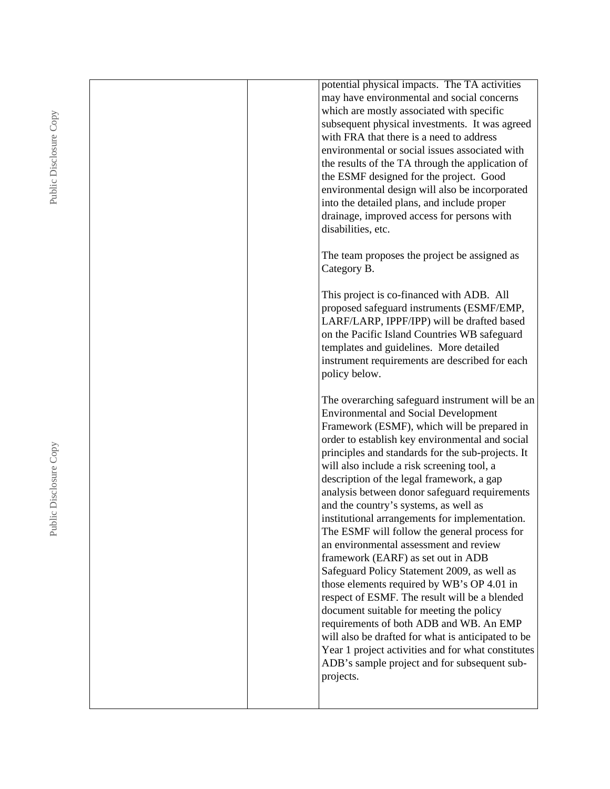|  | potential physical impacts. The TA activities                                                        |
|--|------------------------------------------------------------------------------------------------------|
|  | may have environmental and social concerns                                                           |
|  | which are mostly associated with specific                                                            |
|  | subsequent physical investments. It was agreed                                                       |
|  | with FRA that there is a need to address                                                             |
|  | environmental or social issues associated with                                                       |
|  | the results of the TA through the application of                                                     |
|  | the ESMF designed for the project. Good                                                              |
|  | environmental design will also be incorporated                                                       |
|  | into the detailed plans, and include proper                                                          |
|  | drainage, improved access for persons with                                                           |
|  | disabilities, etc.                                                                                   |
|  | The team proposes the project be assigned as                                                         |
|  | Category B.                                                                                          |
|  |                                                                                                      |
|  | This project is co-financed with ADB. All                                                            |
|  | proposed safeguard instruments (ESMF/EMP,                                                            |
|  | LARF/LARP, IPPF/IPP) will be drafted based                                                           |
|  | on the Pacific Island Countries WB safeguard                                                         |
|  | templates and guidelines. More detailed                                                              |
|  | instrument requirements are described for each                                                       |
|  | policy below.                                                                                        |
|  |                                                                                                      |
|  | The overarching safeguard instrument will be an                                                      |
|  | <b>Environmental and Social Development</b>                                                          |
|  | Framework (ESMF), which will be prepared in                                                          |
|  | order to establish key environmental and social<br>principles and standards for the sub-projects. It |
|  | will also include a risk screening tool, a                                                           |
|  | description of the legal framework, a gap                                                            |
|  | analysis between donor safeguard requirements                                                        |
|  | and the country's systems, as well as                                                                |
|  | institutional arrangements for implementation.                                                       |
|  | The ESMF will follow the general process for                                                         |
|  | an environmental assessment and review                                                               |
|  | framework (EARF) as set out in ADB                                                                   |
|  | Safeguard Policy Statement 2009, as well as                                                          |
|  | those elements required by WB's OP 4.01 in                                                           |
|  | respect of ESMF. The result will be a blended                                                        |
|  | document suitable for meeting the policy                                                             |
|  | requirements of both ADB and WB. An EMP                                                              |
|  | will also be drafted for what is anticipated to be                                                   |
|  | Year 1 project activities and for what constitutes                                                   |
|  | ADB's sample project and for subsequent sub-                                                         |
|  |                                                                                                      |
|  | projects.                                                                                            |
|  |                                                                                                      |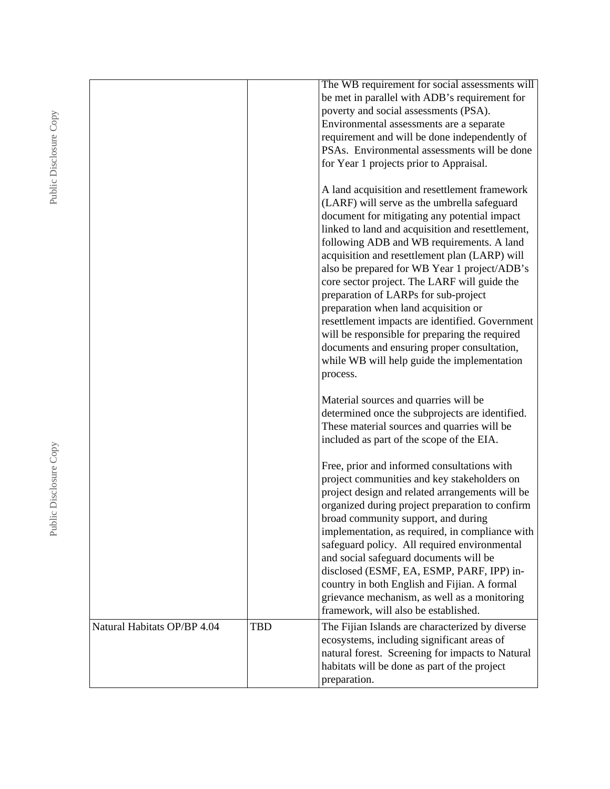|                             |     | The WB requirement for social assessments will<br>be met in parallel with ADB's requirement for<br>poverty and social assessments (PSA).<br>Environmental assessments are a separate<br>requirement and will be done independently of<br>PSAs. Environmental assessments will be done<br>for Year 1 projects prior to Appraisal.                                                                                                                                                                                                                                                                                                                                                              |
|-----------------------------|-----|-----------------------------------------------------------------------------------------------------------------------------------------------------------------------------------------------------------------------------------------------------------------------------------------------------------------------------------------------------------------------------------------------------------------------------------------------------------------------------------------------------------------------------------------------------------------------------------------------------------------------------------------------------------------------------------------------|
|                             |     | A land acquisition and resettlement framework<br>(LARF) will serve as the umbrella safeguard<br>document for mitigating any potential impact<br>linked to land and acquisition and resettlement,<br>following ADB and WB requirements. A land<br>acquisition and resettlement plan (LARP) will<br>also be prepared for WB Year 1 project/ADB's<br>core sector project. The LARF will guide the<br>preparation of LARPs for sub-project<br>preparation when land acquisition or<br>resettlement impacts are identified. Government<br>will be responsible for preparing the required<br>documents and ensuring proper consultation,<br>while WB will help guide the implementation<br>process. |
|                             |     | Material sources and quarries will be<br>determined once the subprojects are identified.<br>These material sources and quarries will be<br>included as part of the scope of the EIA.                                                                                                                                                                                                                                                                                                                                                                                                                                                                                                          |
|                             |     | Free, prior and informed consultations with<br>project communities and key stakeholders on<br>project design and related arrangements will be<br>organized during project preparation to confirm<br>broad community support, and during<br>implementation, as required, in compliance with<br>safeguard policy. All required environmental<br>and social safeguard documents will be<br>disclosed (ESMF, EA, ESMP, PARF, IPP) in-<br>country in both English and Fijian. A formal<br>grievance mechanism, as well as a monitoring<br>framework, will also be established.                                                                                                                     |
| Natural Habitats OP/BP 4.04 | TBD | The Fijian Islands are characterized by diverse<br>ecosystems, including significant areas of<br>natural forest. Screening for impacts to Natural<br>habitats will be done as part of the project<br>preparation.                                                                                                                                                                                                                                                                                                                                                                                                                                                                             |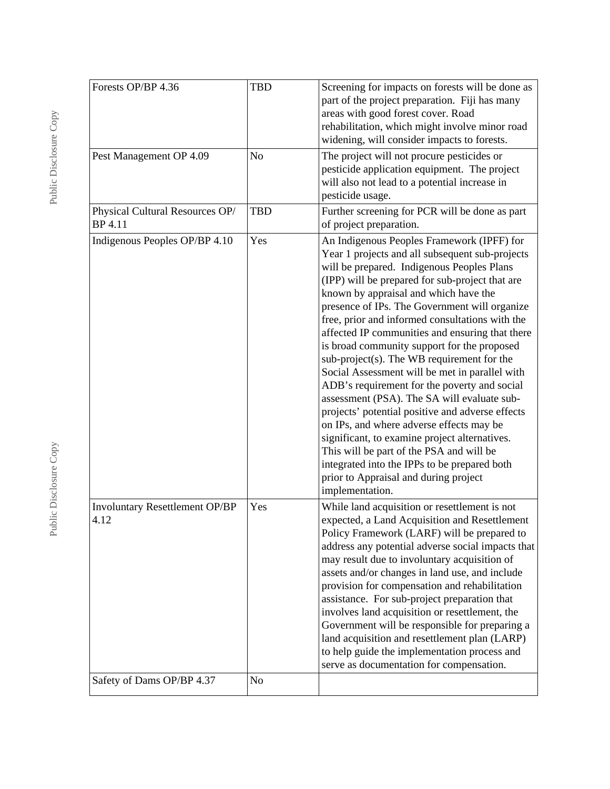| Forests OP/BP 4.36                            | <b>TBD</b>     | Screening for impacts on forests will be done as<br>part of the project preparation. Fiji has many<br>areas with good forest cover. Road<br>rehabilitation, which might involve minor road<br>widening, will consider impacts to forests.                                                                                                                                                                                                                                                                                                                                                                                                                                                                                                                                                                                                                                                                                                             |  |
|-----------------------------------------------|----------------|-------------------------------------------------------------------------------------------------------------------------------------------------------------------------------------------------------------------------------------------------------------------------------------------------------------------------------------------------------------------------------------------------------------------------------------------------------------------------------------------------------------------------------------------------------------------------------------------------------------------------------------------------------------------------------------------------------------------------------------------------------------------------------------------------------------------------------------------------------------------------------------------------------------------------------------------------------|--|
| Pest Management OP 4.09                       | N <sub>o</sub> | The project will not procure pesticides or<br>pesticide application equipment. The project<br>will also not lead to a potential increase in<br>pesticide usage.                                                                                                                                                                                                                                                                                                                                                                                                                                                                                                                                                                                                                                                                                                                                                                                       |  |
| Physical Cultural Resources OP/<br>BP 4.11    | <b>TBD</b>     | Further screening for PCR will be done as part<br>of project preparation.                                                                                                                                                                                                                                                                                                                                                                                                                                                                                                                                                                                                                                                                                                                                                                                                                                                                             |  |
| Indigenous Peoples OP/BP 4.10                 | Yes            | An Indigenous Peoples Framework (IPFF) for<br>Year 1 projects and all subsequent sub-projects<br>will be prepared. Indigenous Peoples Plans<br>(IPP) will be prepared for sub-project that are<br>known by appraisal and which have the<br>presence of IPs. The Government will organize<br>free, prior and informed consultations with the<br>affected IP communities and ensuring that there<br>is broad community support for the proposed<br>sub-project(s). The WB requirement for the<br>Social Assessment will be met in parallel with<br>ADB's requirement for the poverty and social<br>assessment (PSA). The SA will evaluate sub-<br>projects' potential positive and adverse effects<br>on IPs, and where adverse effects may be<br>significant, to examine project alternatives.<br>This will be part of the PSA and will be<br>integrated into the IPPs to be prepared both<br>prior to Appraisal and during project<br>implementation. |  |
| <b>Involuntary Resettlement OP/BP</b><br>4.12 | Yes            | While land acquisition or resettlement is not<br>expected, a Land Acquisition and Resettlement<br>Policy Framework (LARF) will be prepared to<br>address any potential adverse social impacts that<br>may result due to involuntary acquisition of<br>assets and/or changes in land use, and include<br>provision for compensation and rehabilitation<br>assistance. For sub-project preparation that<br>involves land acquisition or resettlement, the<br>Government will be responsible for preparing a<br>land acquisition and resettlement plan (LARP)<br>to help guide the implementation process and<br>serve as documentation for compensation.                                                                                                                                                                                                                                                                                                |  |
| Safety of Dams OP/BP 4.37                     | N <sub>0</sub> |                                                                                                                                                                                                                                                                                                                                                                                                                                                                                                                                                                                                                                                                                                                                                                                                                                                                                                                                                       |  |